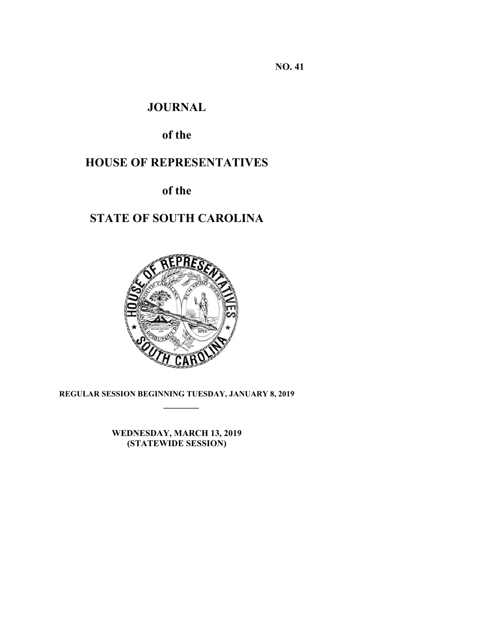**NO. 41** 

## **JOURNAL**

# **of the**

# **HOUSE OF REPRESENTATIVES**

**of the** 

# **STATE OF SOUTH CAROLINA**



**REGULAR SESSION BEGINNING TUESDAY, JANUARY 8, 2019 \_\_\_\_\_\_\_\_**

> **WEDNESDAY, MARCH 13, 2019 (STATEWIDE SESSION)**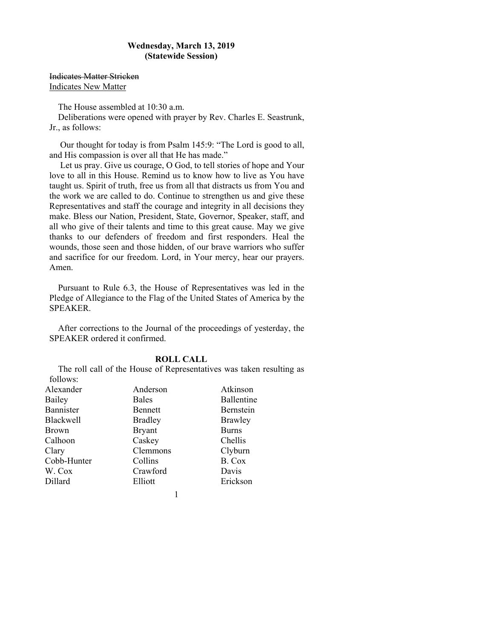### **Wednesday, March 13, 2019 (Statewide Session)**

Indicates Matter Stricken Indicates New Matter

The House assembled at 10:30 a.m.

Deliberations were opened with prayer by Rev. Charles E. Seastrunk, Jr., as follows:

 Our thought for today is from Psalm 145:9: "The Lord is good to all, and His compassion is over all that He has made."

 Let us pray. Give us courage, O God, to tell stories of hope and Your love to all in this House. Remind us to know how to live as You have taught us. Spirit of truth, free us from all that distracts us from You and the work we are called to do. Continue to strengthen us and give these Representatives and staff the courage and integrity in all decisions they make. Bless our Nation, President, State, Governor, Speaker, staff, and all who give of their talents and time to this great cause. May we give thanks to our defenders of freedom and first responders. Heal the wounds, those seen and those hidden, of our brave warriors who suffer and sacrifice for our freedom. Lord, in Your mercy, hear our prayers. Amen.

Pursuant to Rule 6.3, the House of Representatives was led in the Pledge of Allegiance to the Flag of the United States of America by the SPEAKER.

After corrections to the Journal of the proceedings of yesterday, the SPEAKER ordered it confirmed.

### **ROLL CALL**

The roll call of the House of Representatives was taken resulting as follows:

| Alexander        | Anderson       | Atkinson       |
|------------------|----------------|----------------|
| Bailey           | <b>Bales</b>   | Ballentine     |
| Bannister        | Bennett        | Bernstein      |
| <b>Blackwell</b> | <b>Bradley</b> | <b>Brawley</b> |
| <b>Brown</b>     | <b>Bryant</b>  | <b>Burns</b>   |
| Calhoon          | Caskey         | Chellis        |
| Clary            | Clemmons       | Clyburn        |
| Cobb-Hunter      | Collins        | B. Cox         |
| W. Cox           | Crawford       | Davis          |
| Dillard          | Elliott        | Erickson       |
|                  |                |                |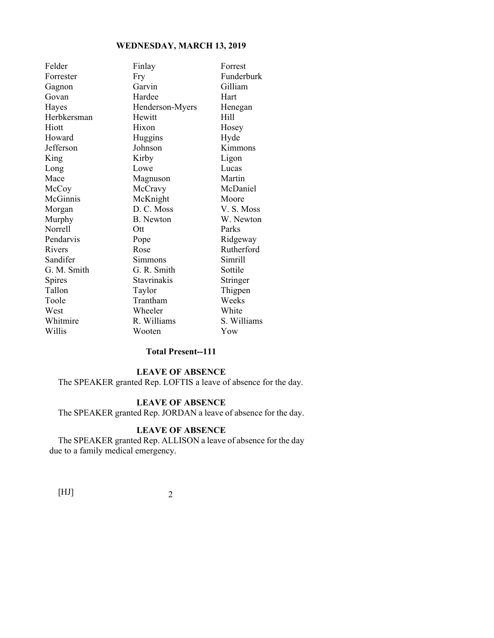| Felder      | Finlay           | Forrest     |
|-------------|------------------|-------------|
| Forrester   | Fry              | Funderburk  |
| Gagnon      | Garvin           | Gilliam     |
| Govan       | Hardee           | Hart        |
| Hayes       | Henderson-Myers  | Henegan     |
| Herbkersman | Hewitt           | Hill        |
| Hiott       | Hixon            | Hosey       |
| Howard      | Huggins          | Hyde        |
| Jefferson   | Johnson          | Kimmons     |
| King        | Kirby            | Ligon       |
| Long        | Lowe             | Lucas       |
| Mace        | Magnuson         | Martin      |
| McCoy       | McCravy          | McDaniel    |
| McGinnis    | McKnight         | Moore       |
| Morgan      | D. C. Moss       | V.S. Moss   |
| Murphy      | <b>B.</b> Newton | W. Newton   |
| Norrell     | Ott              | Parks       |
| Pendarvis   | Pope             | Ridgeway    |
| Rivers      | Rose             | Rutherford  |
| Sandifer    | Simmons          | Simrill     |
| G. M. Smith | G. R. Smith      | Sottile     |
| Spires      | Stavrinakis      | Stringer    |
| Tallon      | Taylor           | Thigpen     |
| Toole       | Trantham         | Weeks       |
| West        | Wheeler          | White       |
| Whitmire    | R. Williams      | S. Williams |
| Willis      | Wooten           | Yow         |
|             |                  |             |

### **Total Present--111**

## **LEAVE OF ABSENCE**

The SPEAKER granted Rep. LOFTIS a leave of absence for the day.

### **LEAVE OF ABSENCE**

The SPEAKER granted Rep. JORDAN a leave of absence for the day.

### **LEAVE OF ABSENCE**

The SPEAKER granted Rep. ALLISON a leave of absence for the day due to a family medical emergency.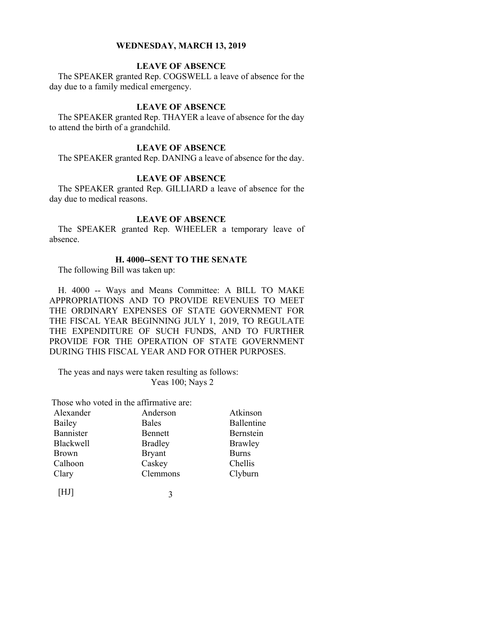### **LEAVE OF ABSENCE**

The SPEAKER granted Rep. COGSWELL a leave of absence for the day due to a family medical emergency.

### **LEAVE OF ABSENCE**

The SPEAKER granted Rep. THAYER a leave of absence for the day to attend the birth of a grandchild.

### **LEAVE OF ABSENCE**

The SPEAKER granted Rep. DANING a leave of absence for the day.

### **LEAVE OF ABSENCE**

The SPEAKER granted Rep. GILLIARD a leave of absence for the day due to medical reasons.

#### **LEAVE OF ABSENCE**

The SPEAKER granted Rep. WHEELER a temporary leave of absence.

#### **H. 4000--SENT TO THE SENATE**

The following Bill was taken up:

H. 4000 -- Ways and Means Committee: A BILL TO MAKE APPROPRIATIONS AND TO PROVIDE REVENUES TO MEET THE ORDINARY EXPENSES OF STATE GOVERNMENT FOR THE FISCAL YEAR BEGINNING JULY 1, 2019, TO REGULATE THE EXPENDITURE OF SUCH FUNDS, AND TO FURTHER PROVIDE FOR THE OPERATION OF STATE GOVERNMENT DURING THIS FISCAL YEAR AND FOR OTHER PURPOSES.

The yeas and nays were taken resulting as follows: Yeas 100; Nays 2

Those who voted in the affirmative are:

| Alexander        | Anderson       | Atkinson     |
|------------------|----------------|--------------|
| Bailey           | <b>Bales</b>   | Ballentine   |
| Bannister        | Bennett        | Bernstein    |
| <b>Blackwell</b> | <b>Bradley</b> | Brawley      |
| <b>Brown</b>     | <b>Bryant</b>  | <b>Burns</b> |
| Calhoon          | Caskey         | Chellis      |
| Clary            | Clemmons       | Clyburn      |
|                  |                |              |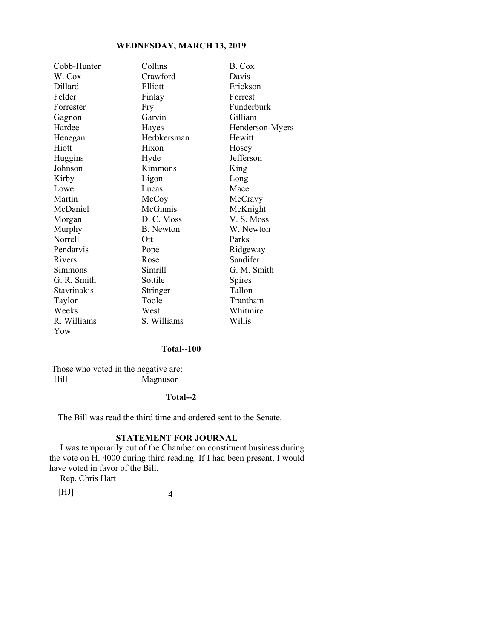| Cobb-Hunter        | Collins     | B. Cox          |
|--------------------|-------------|-----------------|
| W. Cox             | Crawford    | Davis           |
| Dillard            | Elliott     | Erickson        |
| Felder             | Finlay      | Forrest         |
| Forrester          | Fry         | Funderburk      |
| Gagnon             | Garvin      | Gilliam         |
| Hardee             | Hayes       | Henderson-Myers |
| Henegan            | Herbkersman | Hewitt          |
| Hiott              | Hixon       | Hosey           |
| Huggins            | Hyde        | Jefferson       |
| Johnson            | Kimmons     | King            |
| Kirby              | Ligon       | Long            |
| Lowe               | Lucas       | Mace            |
| Martin             | McCoy       | McCravy         |
| McDaniel           | McGinnis    | McKnight        |
| Morgan             | D. C. Moss  | V.S. Moss       |
| Murphy             | B. Newton   | W. Newton       |
| <b>Norrell</b>     | Ott         | Parks           |
| Pendarvis          | Pope        | Ridgeway        |
| Rivers             | Rose        | Sandifer        |
| Simmons            | Simrill     | G. M. Smith     |
| G. R. Smith        | Sottile     | Spires          |
| <b>Stavrinakis</b> | Stringer    | Tallon          |
| Taylor             | Toole       | Trantham        |
| Weeks              | West        | Whitmire        |
| R. Williams        | S. Williams | Willis          |
| Yow                |             |                 |

### **Total--100**

 Those who voted in the negative are: Hill Magnuson

### **Total--2**

The Bill was read the third time and ordered sent to the Senate.

### **STATEMENT FOR JOURNAL**

 I was temporarily out of the Chamber on constituent business during the vote on H. 4000 during third reading. If I had been present, I would have voted in favor of the Bill.

Rep. Chris Hart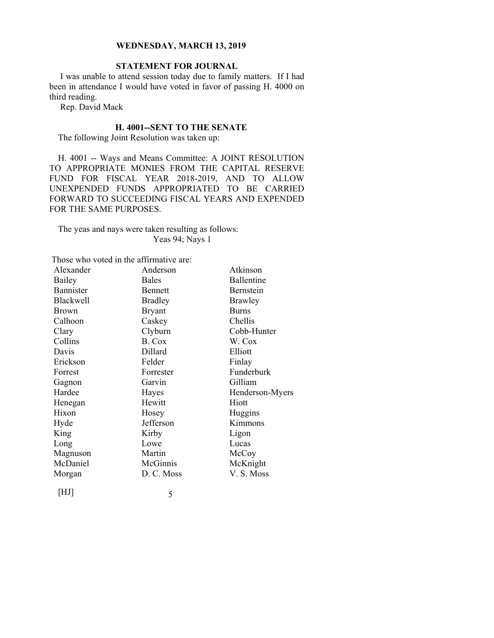### **STATEMENT FOR JOURNAL**

 I was unable to attend session today due to family matters. If I had been in attendance I would have voted in favor of passing H. 4000 on third reading.

Rep. David Mack

### **H. 4001--SENT TO THE SENATE**

The following Joint Resolution was taken up:

H. 4001 -- Ways and Means Committee: A JOINT RESOLUTION TO APPROPRIATE MONIES FROM THE CAPITAL RESERVE FUND FOR FISCAL YEAR 2018-2019, AND TO ALLOW UNEXPENDED FUNDS APPROPRIATED TO BE CARRIED FORWARD TO SUCCEEDING FISCAL YEARS AND EXPENDED FOR THE SAME PURPOSES.

### The yeas and nays were taken resulting as follows: Yeas 94; Nays 1

Those who voted in the affirmative are:

| Alexander        | Anderson       | Atkinson        |
|------------------|----------------|-----------------|
| Bailey           | <b>Bales</b>   | Ballentine      |
| <b>Bannister</b> | Bennett        | Bernstein       |
| <b>Blackwell</b> | <b>Bradley</b> | Brawley         |
| Brown            | <b>Bryant</b>  | <b>Burns</b>    |
| Calhoon          | Caskey         | Chellis         |
| Clary            | Clyburn        | Cobb-Hunter     |
| Collins          | B. Cox         | W. Cox          |
| Davis            | Dillard        | Elliott         |
| Erickson         | Felder         | Finlay          |
| Forrest          | Forrester      | Funderburk      |
| Gagnon           | Garvin         | Gilliam         |
| Hardee           | Hayes          | Henderson-Myers |
| Henegan          | Hewitt         | Hiott           |
| Hixon            | Hosey          | Huggins         |
| Hyde             | Jefferson      | Kimmons         |
| King             | Kirby          | Ligon           |
| Long             | Lowe           | Lucas           |
| Magnuson         | Martin         | McCoy           |
| McDaniel         | McGinnis       | McKnight        |
| Morgan           | D. C. Moss     | V. S. Moss      |
|                  |                |                 |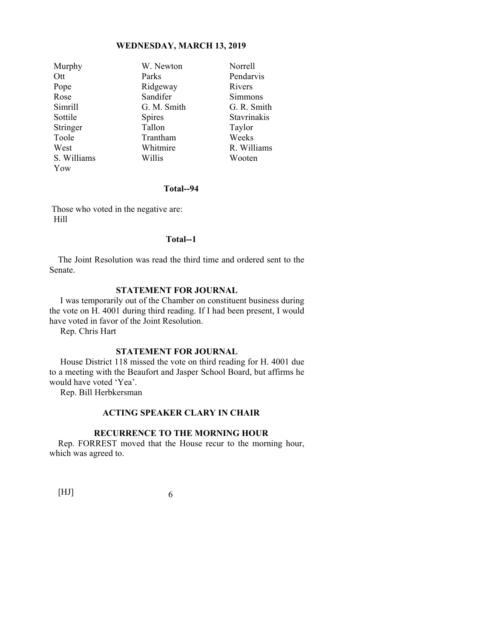| Murphy      | W. Newton     | Norrell     |
|-------------|---------------|-------------|
| Ott         | Parks         | Pendarvis   |
| Pope        | Ridgeway      | Rivers      |
| Rose        | Sandifer      | Simmons     |
| Simrill     | G. M. Smith   | G. R. Smith |
| Sottile     | <b>Spires</b> | Stavrinakis |
| Stringer    | Tallon        | Taylor      |
| Toole       | Trantham      | Weeks       |
| West        | Whitmire      | R. Williams |
| S. Williams | Willis        | Wooten      |
| Yow         |               |             |

#### **Total--94**

 Those who voted in the negative are: Hill

### **Total--1**

The Joint Resolution was read the third time and ordered sent to the Senate.

### **STATEMENT FOR JOURNAL**

 I was temporarily out of the Chamber on constituent business during the vote on H. 4001 during third reading. If I had been present, I would have voted in favor of the Joint Resolution.

Rep. Chris Hart

#### **STATEMENT FOR JOURNAL**

 House District 118 missed the vote on third reading for H. 4001 due to a meeting with the Beaufort and Jasper School Board, but affirms he would have voted 'Yea'.

Rep. Bill Herbkersman

### **ACTING SPEAKER CLARY IN CHAIR**

#### **RECURRENCE TO THE MORNING HOUR**

Rep. FORREST moved that the House recur to the morning hour, which was agreed to.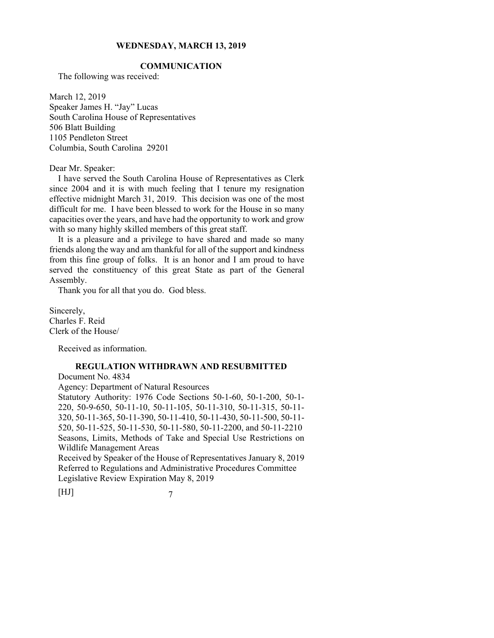### **COMMUNICATION**

The following was received:

March 12, 2019 Speaker James H. "Jay" Lucas South Carolina House of Representatives 506 Blatt Building 1105 Pendleton Street Columbia, South Carolina 29201

Dear Mr. Speaker:

 I have served the South Carolina House of Representatives as Clerk since 2004 and it is with much feeling that I tenure my resignation effective midnight March 31, 2019. This decision was one of the most difficult for me. I have been blessed to work for the House in so many capacities over the years, and have had the opportunity to work and grow with so many highly skilled members of this great staff.

 It is a pleasure and a privilege to have shared and made so many friends along the way and am thankful for all of the support and kindness from this fine group of folks. It is an honor and I am proud to have served the constituency of this great State as part of the General Assembly.

Thank you for all that you do. God bless.

Sincerely, Charles F. Reid Clerk of the House/

Received as information.

### **REGULATION WITHDRAWN AND RESUBMITTED**

Document No. 4834

Agency: Department of Natural Resources

Statutory Authority: 1976 Code Sections 50-1-60, 50-1-200, 50-1- 220, 50-9-650, 50-11-10, 50-11-105, 50-11-310, 50-11-315, 50-11- 320, 50-11-365, 50-11-390, 50-11-410, 50-11-430, 50-11-500, 50-11- 520, 50-11-525, 50-11-530, 50-11-580, 50-11-2200, and 50-11-2210 Seasons, Limits, Methods of Take and Special Use Restrictions on Wildlife Management Areas

Received by Speaker of the House of Representatives January 8, 2019 Referred to Regulations and Administrative Procedures Committee Legislative Review Expiration May 8, 2019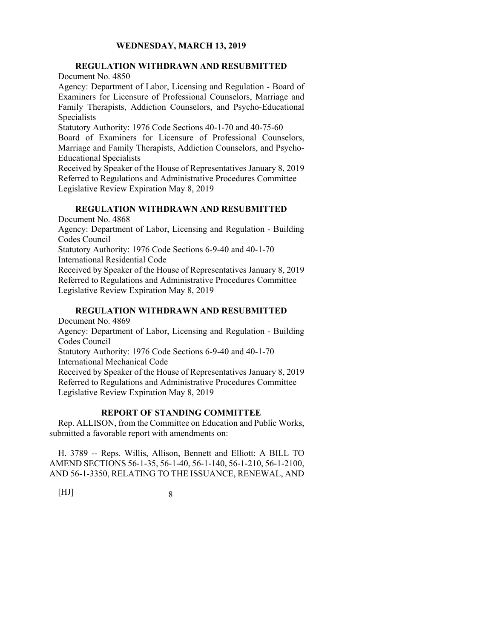### **REGULATION WITHDRAWN AND RESUBMITTED**  Document No. 4850

Agency: Department of Labor, Licensing and Regulation - Board of Examiners for Licensure of Professional Counselors, Marriage and Family Therapists, Addiction Counselors, and Psycho-Educational Specialists

Statutory Authority: 1976 Code Sections 40-1-70 and 40-75-60

Board of Examiners for Licensure of Professional Counselors, Marriage and Family Therapists, Addiction Counselors, and Psycho- Educational Specialists

Received by Speaker of the House of Representatives January 8, 2019 Referred to Regulations and Administrative Procedures Committee Legislative Review Expiration May 8, 2019

### **REGULATION WITHDRAWN AND RESUBMITTED**

Document No. 4868 Agency: Department of Labor, Licensing and Regulation - Building Codes Council Statutory Authority: 1976 Code Sections 6-9-40 and 40-1-70 International Residential Code Received by Speaker of the House of Representatives January 8, 2019 Referred to Regulations and Administrative Procedures Committee Legislative Review Expiration May 8, 2019

### **REGULATION WITHDRAWN AND RESUBMITTED**

Document No. 4869 Agency: Department of Labor, Licensing and Regulation - Building Codes Council Statutory Authority: 1976 Code Sections 6-9-40 and 40-1-70 International Mechanical Code Received by Speaker of the House of Representatives January 8, 2019 Referred to Regulations and Administrative Procedures Committee Legislative Review Expiration May 8, 2019

### **REPORT OF STANDING COMMITTEE**

Rep. ALLISON, from the Committee on Education and Public Works, submitted a favorable report with amendments on:

H. 3789 -- Reps. Willis, Allison, Bennett and Elliott: A BILL TO AMEND SECTIONS 56-1-35, 56-1-40, 56-1-140, 56-1-210, 56-1-2100, AND 56-1-3350, RELATING TO THE ISSUANCE, RENEWAL, AND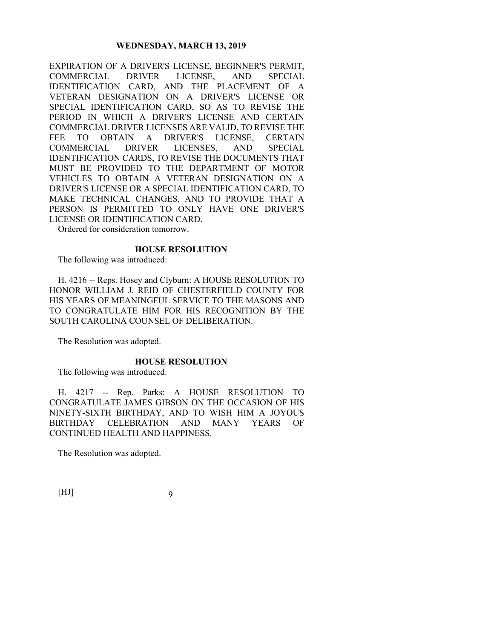EXPIRATION OF A DRIVER'S LICENSE, BEGINNER'S PERMIT, COMMERCIAL DRIVER LICENSE, AND SPECIAL IDENTIFICATION CARD, AND THE PLACEMENT OF A VETERAN DESIGNATION ON A DRIVER'S LICENSE OR SPECIAL IDENTIFICATION CARD, SO AS TO REVISE THE PERIOD IN WHICH A DRIVER'S LICENSE AND CERTAIN COMMERCIAL DRIVER LICENSES ARE VALID, TO REVISE THE FEE TO OBTAIN A DRIVER'S LICENSE, CERTAIN COMMERCIAL DRIVER LICENSES, AND SPECIAL IDENTIFICATION CARDS, TO REVISE THE DOCUMENTS THAT MUST BE PROVIDED TO THE DEPARTMENT OF MOTOR VEHICLES TO OBTAIN A VETERAN DESIGNATION ON A DRIVER'S LICENSE OR A SPECIAL IDENTIFICATION CARD, TO MAKE TECHNICAL CHANGES, AND TO PROVIDE THAT A PERSON IS PERMITTED TO ONLY HAVE ONE DRIVER'S LICENSE OR IDENTIFICATION CARD.

Ordered for consideration tomorrow.

### **HOUSE RESOLUTION**

The following was introduced:

H. 4216 -- Reps. Hosey and Clyburn: A HOUSE RESOLUTION TO HONOR WILLIAM J. REID OF CHESTERFIELD COUNTY FOR HIS YEARS OF MEANINGFUL SERVICE TO THE MASONS AND TO CONGRATULATE HIM FOR HIS RECOGNITION BY THE SOUTH CAROLINA COUNSEL OF DELIBERATION.

The Resolution was adopted.

### **HOUSE RESOLUTION**

The following was introduced:

H. 4217 -- Rep. Parks: A HOUSE RESOLUTION TO CONGRATULATE JAMES GIBSON ON THE OCCASION OF HIS NINETY-SIXTH BIRTHDAY, AND TO WISH HIM A JOYOUS BIRTHDAY CELEBRATION AND MANY YEARS OF CONTINUED HEALTH AND HAPPINESS.

The Resolution was adopted.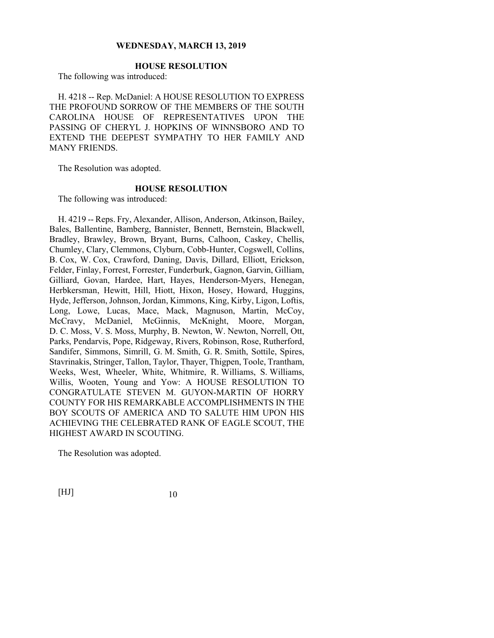### **HOUSE RESOLUTION**

The following was introduced:

H. 4218 -- Rep. McDaniel: A HOUSE RESOLUTION TO EXPRESS THE PROFOUND SORROW OF THE MEMBERS OF THE SOUTH CAROLINA HOUSE OF REPRESENTATIVES UPON THE PASSING OF CHERYL J. HOPKINS OF WINNSBORO AND TO EXTEND THE DEEPEST SYMPATHY TO HER FAMILY AND MANY FRIENDS.

The Resolution was adopted.

### **HOUSE RESOLUTION**

The following was introduced:

H. 4219 -- Reps. Fry, Alexander, Allison, Anderson, Atkinson, Bailey, Bales, Ballentine, Bamberg, Bannister, Bennett, Bernstein, Blackwell, Bradley, Brawley, Brown, Bryant, Burns, Calhoon, Caskey, Chellis, Chumley, Clary, Clemmons, Clyburn, Cobb-Hunter, Cogswell, Collins, B. Cox, W. Cox, Crawford, Daning, Davis, Dillard, Elliott, Erickson, Felder, Finlay, Forrest, Forrester, Funderburk, Gagnon, Garvin, Gilliam, Gilliard, Govan, Hardee, Hart, Hayes, Henderson-Myers, Henegan, Herbkersman, Hewitt, Hill, Hiott, Hixon, Hosey, Howard, Huggins, Hyde, Jefferson, Johnson, Jordan, Kimmons, King, Kirby, Ligon, Loftis, Long, Lowe, Lucas, Mace, Mack, Magnuson, Martin, McCoy, McCravy, McDaniel, McGinnis, McKnight, Moore, Morgan, D. C. Moss, V. S. Moss, Murphy, B. Newton, W. Newton, Norrell, Ott, Parks, Pendarvis, Pope, Ridgeway, Rivers, Robinson, Rose, Rutherford, Sandifer, Simmons, Simrill, G. M. Smith, G. R. Smith, Sottile, Spires, Stavrinakis, Stringer, Tallon, Taylor, Thayer, Thigpen, Toole, Trantham, Weeks, West, Wheeler, White, Whitmire, R. Williams, S. Williams, Willis, Wooten, Young and Yow: A HOUSE RESOLUTION TO CONGRATULATE STEVEN M. GUYON-MARTIN OF HORRY COUNTY FOR HIS REMARKABLE ACCOMPLISHMENTS IN THE BOY SCOUTS OF AMERICA AND TO SALUTE HIM UPON HIS ACHIEVING THE CELEBRATED RANK OF EAGLE SCOUT, THE HIGHEST AWARD IN SCOUTING.

The Resolution was adopted.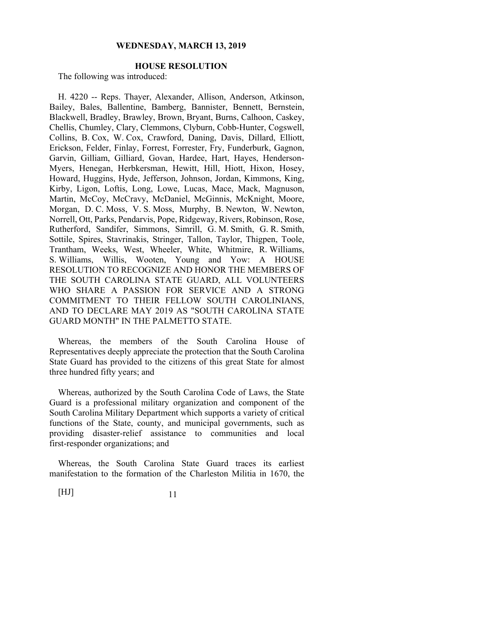### **HOUSE RESOLUTION**

The following was introduced:

H. 4220 -- Reps. Thayer, Alexander, Allison, Anderson, Atkinson, Bailey, Bales, Ballentine, Bamberg, Bannister, Bennett, Bernstein, Blackwell, Bradley, Brawley, Brown, Bryant, Burns, Calhoon, Caskey, Chellis, Chumley, Clary, Clemmons, Clyburn, Cobb-Hunter, Cogswell, Collins, B. Cox, W. Cox, Crawford, Daning, Davis, Dillard, Elliott, Erickson, Felder, Finlay, Forrest, Forrester, Fry, Funderburk, Gagnon, Garvin, Gilliam, Gilliard, Govan, Hardee, Hart, Hayes, Henderson-Myers, Henegan, Herbkersman, Hewitt, Hill, Hiott, Hixon, Hosey, Howard, Huggins, Hyde, Jefferson, Johnson, Jordan, Kimmons, King, Kirby, Ligon, Loftis, Long, Lowe, Lucas, Mace, Mack, Magnuson, Martin, McCoy, McCravy, McDaniel, McGinnis, McKnight, Moore, Morgan, D. C. Moss, V. S. Moss, Murphy, B. Newton, W. Newton, Norrell, Ott, Parks, Pendarvis, Pope, Ridgeway, Rivers, Robinson, Rose, Rutherford, Sandifer, Simmons, Simrill, G. M. Smith, G. R. Smith, Sottile, Spires, Stavrinakis, Stringer, Tallon, Taylor, Thigpen, Toole, Trantham, Weeks, West, Wheeler, White, Whitmire, R. Williams, S. Williams, Willis, Wooten, Young and Yow: A HOUSE RESOLUTION TO RECOGNIZE AND HONOR THE MEMBERS OF THE SOUTH CAROLINA STATE GUARD, ALL VOLUNTEERS WHO SHARE A PASSION FOR SERVICE AND A STRONG COMMITMENT TO THEIR FELLOW SOUTH CAROLINIANS, AND TO DECLARE MAY 2019 AS "SOUTH CAROLINA STATE GUARD MONTH" IN THE PALMETTO STATE.

Whereas, the members of the South Carolina House of Representatives deeply appreciate the protection that the South Carolina State Guard has provided to the citizens of this great State for almost three hundred fifty years; and

Whereas, authorized by the South Carolina Code of Laws, the State Guard is a professional military organization and component of the South Carolina Military Department which supports a variety of critical functions of the State, county, and municipal governments, such as providing disaster-relief assistance to communities and local first-responder organizations; and

Whereas, the South Carolina State Guard traces its earliest manifestation to the formation of the Charleston Militia in 1670, the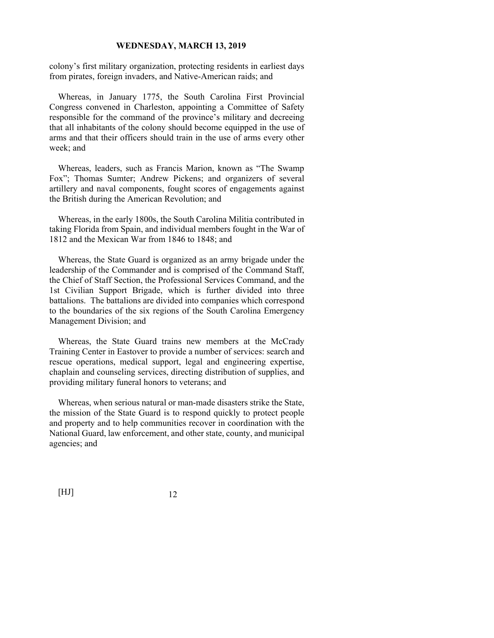colony's first military organization, protecting residents in earliest days from pirates, foreign invaders, and Native-American raids; and

Whereas, in January 1775, the South Carolina First Provincial Congress convened in Charleston, appointing a Committee of Safety responsible for the command of the province's military and decreeing that all inhabitants of the colony should become equipped in the use of arms and that their officers should train in the use of arms every other week; and

Whereas, leaders, such as Francis Marion, known as "The Swamp Fox"; Thomas Sumter; Andrew Pickens; and organizers of several artillery and naval components, fought scores of engagements against the British during the American Revolution; and

Whereas, in the early 1800s, the South Carolina Militia contributed in taking Florida from Spain, and individual members fought in the War of 1812 and the Mexican War from 1846 to 1848; and

Whereas, the State Guard is organized as an army brigade under the leadership of the Commander and is comprised of the Command Staff, the Chief of Staff Section, the Professional Services Command, and the 1st Civilian Support Brigade, which is further divided into three battalions. The battalions are divided into companies which correspond to the boundaries of the six regions of the South Carolina Emergency Management Division; and

Whereas, the State Guard trains new members at the McCrady Training Center in Eastover to provide a number of services: search and rescue operations, medical support, legal and engineering expertise, chaplain and counseling services, directing distribution of supplies, and providing military funeral honors to veterans; and

Whereas, when serious natural or man-made disasters strike the State, the mission of the State Guard is to respond quickly to protect people and property and to help communities recover in coordination with the National Guard, law enforcement, and other state, county, and municipal agencies; and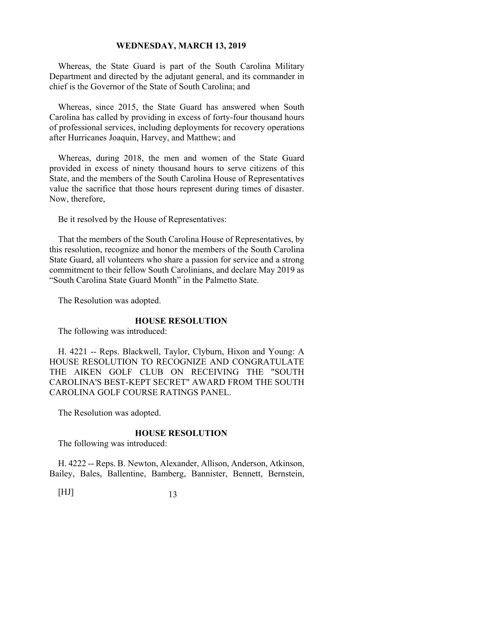Whereas, the State Guard is part of the South Carolina Military Department and directed by the adjutant general, and its commander in chief is the Governor of the State of South Carolina; and

Whereas, since 2015, the State Guard has answered when South Carolina has called by providing in excess of forty-four thousand hours of professional services, including deployments for recovery operations after Hurricanes Joaquin, Harvey, and Matthew; and

Whereas, during 2018, the men and women of the State Guard provided in excess of ninety thousand hours to serve citizens of this State, and the members of the South Carolina House of Representatives value the sacrifice that those hours represent during times of disaster. Now, therefore,

Be it resolved by the House of Representatives:

That the members of the South Carolina House of Representatives, by this resolution, recognize and honor the members of the South Carolina State Guard, all volunteers who share a passion for service and a strong commitment to their fellow South Carolinians, and declare May 2019 as "South Carolina State Guard Month" in the Palmetto State.

The Resolution was adopted.

#### **HOUSE RESOLUTION**

The following was introduced:

H. 4221 -- Reps. Blackwell, Taylor, Clyburn, Hixon and Young: A HOUSE RESOLUTION TO RECOGNIZE AND CONGRATULATE THE AIKEN GOLF CLUB ON RECEIVING THE "SOUTH CAROLINA'S BEST-KEPT SECRET" AWARD FROM THE SOUTH CAROLINA GOLF COURSE RATINGS PANEL.

The Resolution was adopted.

#### **HOUSE RESOLUTION**

The following was introduced:

H. 4222 -- Reps. B. Newton, Alexander, Allison, Anderson, Atkinson, Bailey, Bales, Ballentine, Bamberg, Bannister, Bennett, Bernstein,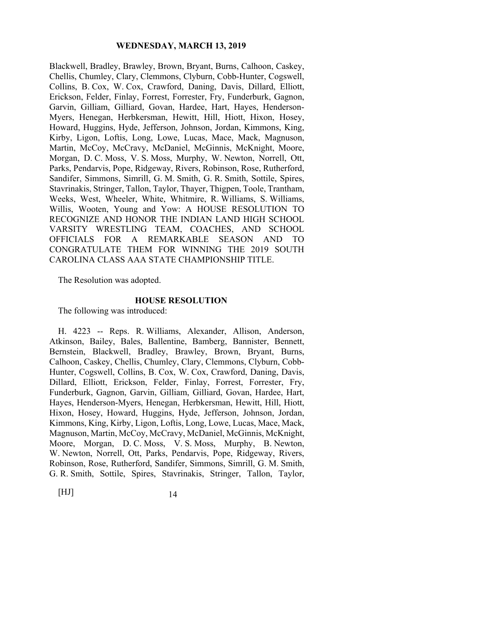Blackwell, Bradley, Brawley, Brown, Bryant, Burns, Calhoon, Caskey, Chellis, Chumley, Clary, Clemmons, Clyburn, Cobb-Hunter, Cogswell, Collins, B. Cox, W. Cox, Crawford, Daning, Davis, Dillard, Elliott, Erickson, Felder, Finlay, Forrest, Forrester, Fry, Funderburk, Gagnon, Garvin, Gilliam, Gilliard, Govan, Hardee, Hart, Hayes, Henderson-Myers, Henegan, Herbkersman, Hewitt, Hill, Hiott, Hixon, Hosey, Howard, Huggins, Hyde, Jefferson, Johnson, Jordan, Kimmons, King, Kirby, Ligon, Loftis, Long, Lowe, Lucas, Mace, Mack, Magnuson, Martin, McCoy, McCravy, McDaniel, McGinnis, McKnight, Moore, Morgan, D. C. Moss, V. S. Moss, Murphy, W. Newton, Norrell, Ott, Parks, Pendarvis, Pope, Ridgeway, Rivers, Robinson, Rose, Rutherford, Sandifer, Simmons, Simrill, G. M. Smith, G. R. Smith, Sottile, Spires, Stavrinakis, Stringer, Tallon, Taylor, Thayer, Thigpen, Toole, Trantham, Weeks, West, Wheeler, White, Whitmire, R. Williams, S. Williams, Willis, Wooten, Young and Yow: A HOUSE RESOLUTION TO RECOGNIZE AND HONOR THE INDIAN LAND HIGH SCHOOL VARSITY WRESTLING TEAM, COACHES, AND SCHOOL OFFICIALS FOR A REMARKABLE SEASON AND TO CONGRATULATE THEM FOR WINNING THE 2019 SOUTH CAROLINA CLASS AAA STATE CHAMPIONSHIP TITLE.

The Resolution was adopted.

### **HOUSE RESOLUTION**

The following was introduced:

H. 4223 -- Reps. R. Williams, Alexander, Allison, Anderson, Atkinson, Bailey, Bales, Ballentine, Bamberg, Bannister, Bennett, Bernstein, Blackwell, Bradley, Brawley, Brown, Bryant, Burns, Calhoon, Caskey, Chellis, Chumley, Clary, Clemmons, Clyburn, Cobb-Hunter, Cogswell, Collins, B. Cox, W. Cox, Crawford, Daning, Davis, Dillard, Elliott, Erickson, Felder, Finlay, Forrest, Forrester, Fry, Funderburk, Gagnon, Garvin, Gilliam, Gilliard, Govan, Hardee, Hart, Hayes, Henderson-Myers, Henegan, Herbkersman, Hewitt, Hill, Hiott, Hixon, Hosey, Howard, Huggins, Hyde, Jefferson, Johnson, Jordan, Kimmons, King, Kirby, Ligon, Loftis, Long, Lowe, Lucas, Mace, Mack, Magnuson, Martin, McCoy, McCravy, McDaniel, McGinnis, McKnight, Moore, Morgan, D. C. Moss, V. S. Moss, Murphy, B. Newton, W. Newton, Norrell, Ott, Parks, Pendarvis, Pope, Ridgeway, Rivers, Robinson, Rose, Rutherford, Sandifer, Simmons, Simrill, G. M. Smith, G. R. Smith, Sottile, Spires, Stavrinakis, Stringer, Tallon, Taylor,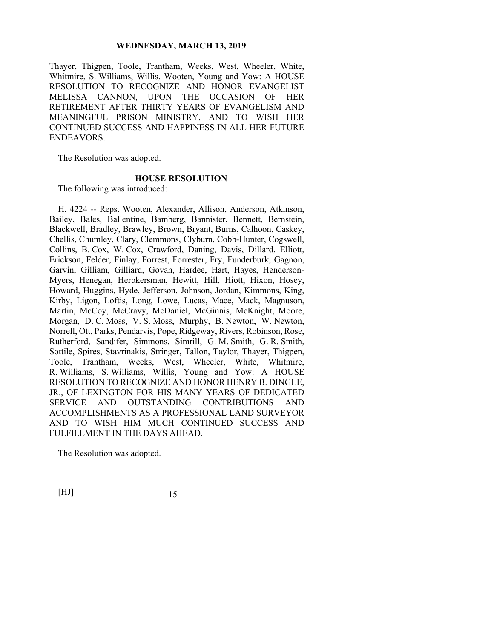Thayer, Thigpen, Toole, Trantham, Weeks, West, Wheeler, White, Whitmire, S. Williams, Willis, Wooten, Young and Yow: A HOUSE RESOLUTION TO RECOGNIZE AND HONOR EVANGELIST MELISSA CANNON, UPON THE OCCASION OF HER RETIREMENT AFTER THIRTY YEARS OF EVANGELISM AND MEANINGFUL PRISON MINISTRY, AND TO WISH HER CONTINUED SUCCESS AND HAPPINESS IN ALL HER FUTURE ENDEAVORS.

The Resolution was adopted.

#### **HOUSE RESOLUTION**

The following was introduced:

H. 4224 -- Reps. Wooten, Alexander, Allison, Anderson, Atkinson, Bailey, Bales, Ballentine, Bamberg, Bannister, Bennett, Bernstein, Blackwell, Bradley, Brawley, Brown, Bryant, Burns, Calhoon, Caskey, Chellis, Chumley, Clary, Clemmons, Clyburn, Cobb-Hunter, Cogswell, Collins, B. Cox, W. Cox, Crawford, Daning, Davis, Dillard, Elliott, Erickson, Felder, Finlay, Forrest, Forrester, Fry, Funderburk, Gagnon, Garvin, Gilliam, Gilliard, Govan, Hardee, Hart, Hayes, Henderson-Myers, Henegan, Herbkersman, Hewitt, Hill, Hiott, Hixon, Hosey, Howard, Huggins, Hyde, Jefferson, Johnson, Jordan, Kimmons, King, Kirby, Ligon, Loftis, Long, Lowe, Lucas, Mace, Mack, Magnuson, Martin, McCoy, McCravy, McDaniel, McGinnis, McKnight, Moore, Morgan, D. C. Moss, V. S. Moss, Murphy, B. Newton, W. Newton, Norrell, Ott, Parks, Pendarvis, Pope, Ridgeway, Rivers, Robinson, Rose, Rutherford, Sandifer, Simmons, Simrill, G. M. Smith, G. R. Smith, Sottile, Spires, Stavrinakis, Stringer, Tallon, Taylor, Thayer, Thigpen, Toole, Trantham, Weeks, West, Wheeler, White, Whitmire, R. Williams, S. Williams, Willis, Young and Yow: A HOUSE RESOLUTION TO RECOGNIZE AND HONOR HENRY B. DINGLE, JR., OF LEXINGTON FOR HIS MANY YEARS OF DEDICATED SERVICE AND OUTSTANDING CONTRIBUTIONS AND ACCOMPLISHMENTS AS A PROFESSIONAL LAND SURVEYOR AND TO WISH HIM MUCH CONTINUED SUCCESS AND FULFILLMENT IN THE DAYS AHEAD.

The Resolution was adopted.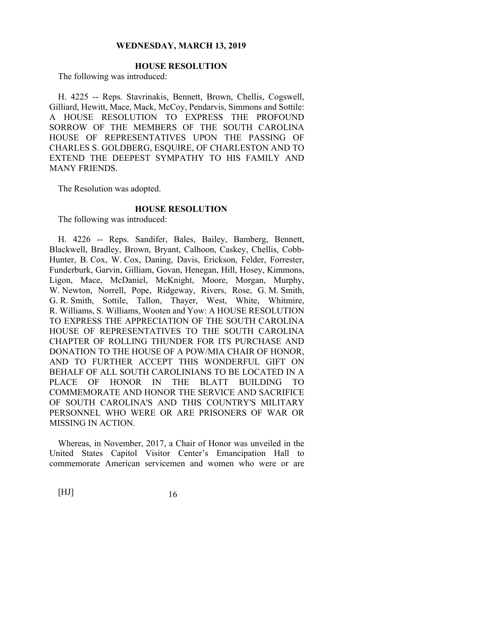### **HOUSE RESOLUTION**

The following was introduced:

H. 4225 -- Reps. Stavrinakis, Bennett, Brown, Chellis, Cogswell, Gilliard, Hewitt, Mace, Mack, McCoy, Pendarvis, Simmons and Sottile: A HOUSE RESOLUTION TO EXPRESS THE PROFOUND SORROW OF THE MEMBERS OF THE SOUTH CAROLINA HOUSE OF REPRESENTATIVES UPON THE PASSING OF CHARLES S. GOLDBERG, ESQUIRE, OF CHARLESTON AND TO EXTEND THE DEEPEST SYMPATHY TO HIS FAMILY AND MANY FRIENDS.

The Resolution was adopted.

### **HOUSE RESOLUTION**

The following was introduced:

H. 4226 -- Reps. Sandifer, Bales, Bailey, Bamberg, Bennett, Blackwell, Bradley, Brown, Bryant, Calhoon, Caskey, Chellis, Cobb-Hunter, B. Cox, W. Cox, Daning, Davis, Erickson, Felder, Forrester, Funderburk, Garvin, Gilliam, Govan, Henegan, Hill, Hosey, Kimmons, Ligon, Mace, McDaniel, McKnight, Moore, Morgan, Murphy, W. Newton, Norrell, Pope, Ridgeway, Rivers, Rose, G. M. Smith, G. R. Smith, Sottile, Tallon, Thayer, West, White, Whitmire, R. Williams, S. Williams, Wooten and Yow: A HOUSE RESOLUTION TO EXPRESS THE APPRECIATION OF THE SOUTH CAROLINA HOUSE OF REPRESENTATIVES TO THE SOUTH CAROLINA CHAPTER OF ROLLING THUNDER FOR ITS PURCHASE AND DONATION TO THE HOUSE OF A POW/MIA CHAIR OF HONOR, AND TO FURTHER ACCEPT THIS WONDERFUL GIFT ON BEHALF OF ALL SOUTH CAROLINIANS TO BE LOCATED IN A PLACE OF HONOR IN THE BLATT BUILDING TO COMMEMORATE AND HONOR THE SERVICE AND SACRIFICE OF SOUTH CAROLINA'S AND THIS COUNTRY'S MILITARY PERSONNEL WHO WERE OR ARE PRISONERS OF WAR OR MISSING IN ACTION.

Whereas, in November, 2017, a Chair of Honor was unveiled in the United States Capitol Visitor Center's Emancipation Hall to commemorate American servicemen and women who were or are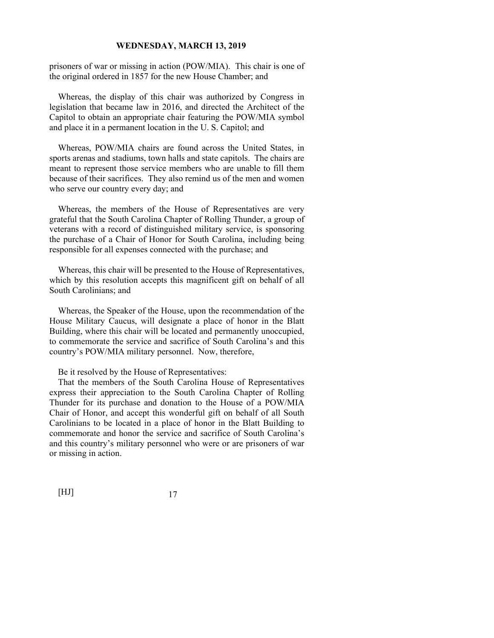prisoners of war or missing in action (POW/MIA). This chair is one of the original ordered in 1857 for the new House Chamber; and

Whereas, the display of this chair was authorized by Congress in legislation that became law in 2016, and directed the Architect of the Capitol to obtain an appropriate chair featuring the POW/MIA symbol and place it in a permanent location in the U. S. Capitol; and

Whereas, POW/MIA chairs are found across the United States, in sports arenas and stadiums, town halls and state capitols. The chairs are meant to represent those service members who are unable to fill them because of their sacrifices. They also remind us of the men and women who serve our country every day; and

Whereas, the members of the House of Representatives are very grateful that the South Carolina Chapter of Rolling Thunder, a group of veterans with a record of distinguished military service, is sponsoring the purchase of a Chair of Honor for South Carolina, including being responsible for all expenses connected with the purchase; and

Whereas, this chair will be presented to the House of Representatives, which by this resolution accepts this magnificent gift on behalf of all South Carolinians; and

Whereas, the Speaker of the House, upon the recommendation of the House Military Caucus, will designate a place of honor in the Blatt Building, where this chair will be located and permanently unoccupied, to commemorate the service and sacrifice of South Carolina's and this country's POW/MIA military personnel. Now, therefore,

Be it resolved by the House of Representatives:

That the members of the South Carolina House of Representatives express their appreciation to the South Carolina Chapter of Rolling Thunder for its purchase and donation to the House of a POW/MIA Chair of Honor, and accept this wonderful gift on behalf of all South Carolinians to be located in a place of honor in the Blatt Building to commemorate and honor the service and sacrifice of South Carolina's and this country's military personnel who were or are prisoners of war or missing in action.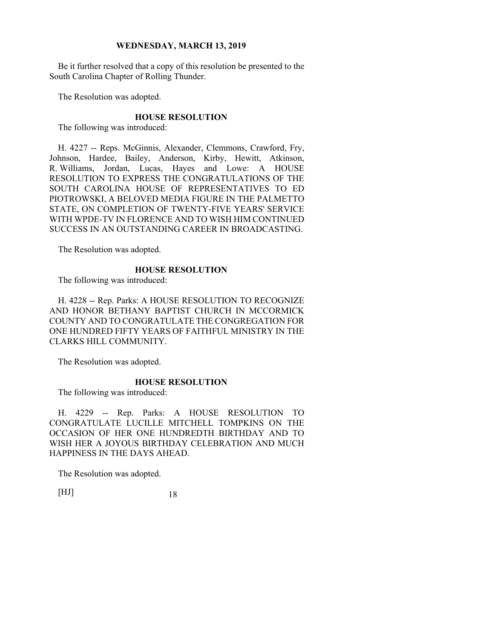Be it further resolved that a copy of this resolution be presented to the South Carolina Chapter of Rolling Thunder.

The Resolution was adopted.

### **HOUSE RESOLUTION**

The following was introduced:

H. 4227 -- Reps. McGinnis, Alexander, Clemmons, Crawford, Fry, Johnson, Hardee, Bailey, Anderson, Kirby, Hewitt, Atkinson, R. Williams, Jordan, Lucas, Hayes and Lowe: A HOUSE RESOLUTION TO EXPRESS THE CONGRATULATIONS OF THE SOUTH CAROLINA HOUSE OF REPRESENTATIVES TO ED PIOTROWSKI, A BELOVED MEDIA FIGURE IN THE PALMETTO STATE, ON COMPLETION OF TWENTY-FIVE YEARS' SERVICE WITH WPDE-TV IN FLORENCE AND TO WISH HIM CONTINUED SUCCESS IN AN OUTSTANDING CAREER IN BROADCASTING.

The Resolution was adopted.

### **HOUSE RESOLUTION**

The following was introduced:

H. 4228 -- Rep. Parks: A HOUSE RESOLUTION TO RECOGNIZE AND HONOR BETHANY BAPTIST CHURCH IN MCCORMICK COUNTY AND TO CONGRATULATE THE CONGREGATION FOR ONE HUNDRED FIFTY YEARS OF FAITHFUL MINISTRY IN THE CLARKS HILL COMMUNITY.

The Resolution was adopted.

### **HOUSE RESOLUTION**

The following was introduced:

H. 4229 -- Rep. Parks: A HOUSE RESOLUTION TO CONGRATULATE LUCILLE MITCHELL TOMPKINS ON THE OCCASION OF HER ONE HUNDREDTH BIRTHDAY AND TO WISH HER A JOYOUS BIRTHDAY CELEBRATION AND MUCH HAPPINESS IN THE DAYS AHEAD.

The Resolution was adopted.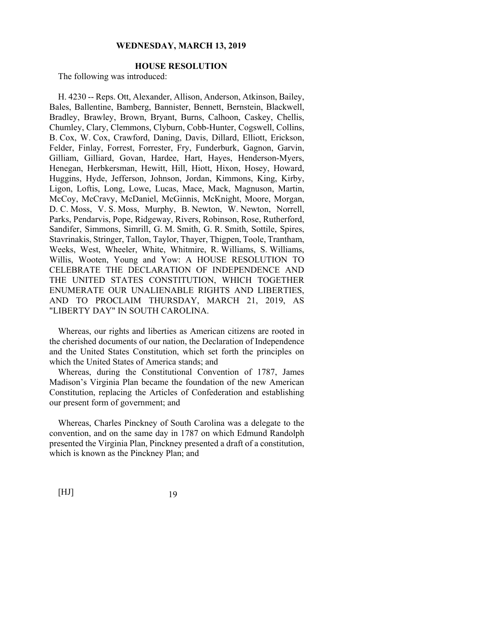### **HOUSE RESOLUTION**

The following was introduced:

H. 4230 -- Reps. Ott, Alexander, Allison, Anderson, Atkinson, Bailey, Bales, Ballentine, Bamberg, Bannister, Bennett, Bernstein, Blackwell, Bradley, Brawley, Brown, Bryant, Burns, Calhoon, Caskey, Chellis, Chumley, Clary, Clemmons, Clyburn, Cobb-Hunter, Cogswell, Collins, B. Cox, W. Cox, Crawford, Daning, Davis, Dillard, Elliott, Erickson, Felder, Finlay, Forrest, Forrester, Fry, Funderburk, Gagnon, Garvin, Gilliam, Gilliard, Govan, Hardee, Hart, Hayes, Henderson-Myers, Henegan, Herbkersman, Hewitt, Hill, Hiott, Hixon, Hosey, Howard, Huggins, Hyde, Jefferson, Johnson, Jordan, Kimmons, King, Kirby, Ligon, Loftis, Long, Lowe, Lucas, Mace, Mack, Magnuson, Martin, McCoy, McCravy, McDaniel, McGinnis, McKnight, Moore, Morgan, D. C. Moss, V. S. Moss, Murphy, B. Newton, W. Newton, Norrell, Parks, Pendarvis, Pope, Ridgeway, Rivers, Robinson, Rose, Rutherford, Sandifer, Simmons, Simrill, G. M. Smith, G. R. Smith, Sottile, Spires, Stavrinakis, Stringer, Tallon, Taylor, Thayer, Thigpen, Toole, Trantham, Weeks, West, Wheeler, White, Whitmire, R. Williams, S. Williams, Willis, Wooten, Young and Yow: A HOUSE RESOLUTION TO CELEBRATE THE DECLARATION OF INDEPENDENCE AND THE UNITED STATES CONSTITUTION, WHICH TOGETHER ENUMERATE OUR UNALIENABLE RIGHTS AND LIBERTIES, AND TO PROCLAIM THURSDAY, MARCH 21, 2019, AS "LIBERTY DAY" IN SOUTH CAROLINA.

Whereas, our rights and liberties as American citizens are rooted in the cherished documents of our nation, the Declaration of Independence and the United States Constitution, which set forth the principles on which the United States of America stands; and

Whereas, during the Constitutional Convention of 1787, James Madison's Virginia Plan became the foundation of the new American Constitution, replacing the Articles of Confederation and establishing our present form of government; and

Whereas, Charles Pinckney of South Carolina was a delegate to the convention, and on the same day in 1787 on which Edmund Randolph presented the Virginia Plan, Pinckney presented a draft of a constitution, which is known as the Pinckney Plan; and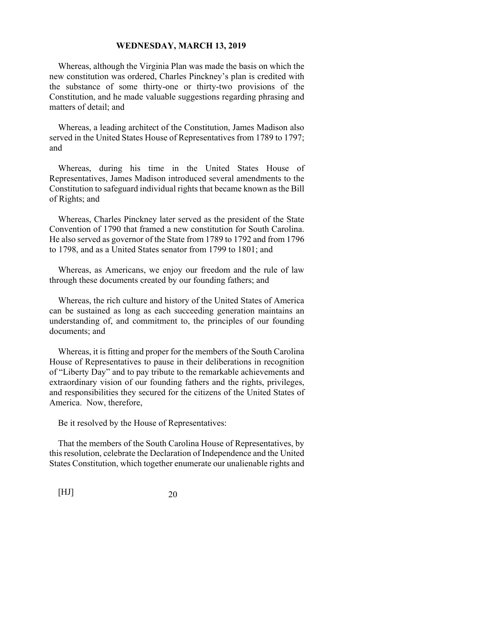Whereas, although the Virginia Plan was made the basis on which the new constitution was ordered, Charles Pinckney's plan is credited with the substance of some thirty-one or thirty-two provisions of the Constitution, and he made valuable suggestions regarding phrasing and matters of detail; and

Whereas, a leading architect of the Constitution, James Madison also served in the United States House of Representatives from 1789 to 1797; and

Whereas, during his time in the United States House of Representatives, James Madison introduced several amendments to the Constitution to safeguard individual rights that became known as the Bill of Rights; and

Whereas, Charles Pinckney later served as the president of the State Convention of 1790 that framed a new constitution for South Carolina. He also served as governor of the State from 1789 to 1792 and from 1796 to 1798, and as a United States senator from 1799 to 1801; and

Whereas, as Americans, we enjoy our freedom and the rule of law through these documents created by our founding fathers; and

Whereas, the rich culture and history of the United States of America can be sustained as long as each succeeding generation maintains an understanding of, and commitment to, the principles of our founding documents; and

Whereas, it is fitting and proper for the members of the South Carolina House of Representatives to pause in their deliberations in recognition of "Liberty Day" and to pay tribute to the remarkable achievements and extraordinary vision of our founding fathers and the rights, privileges, and responsibilities they secured for the citizens of the United States of America. Now, therefore,

Be it resolved by the House of Representatives:

That the members of the South Carolina House of Representatives, by this resolution, celebrate the Declaration of Independence and the United States Constitution, which together enumerate our unalienable rights and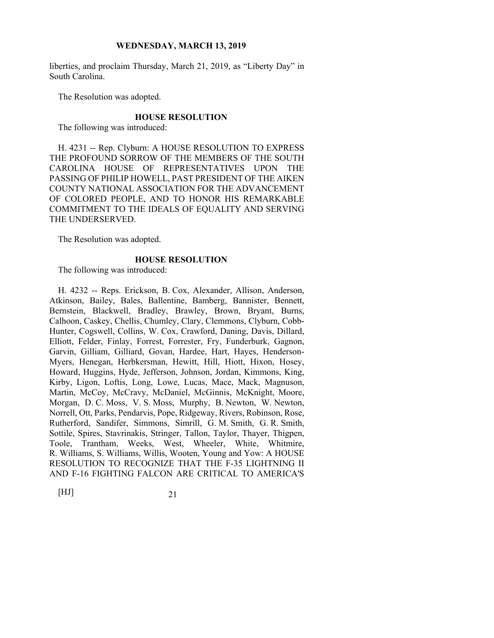liberties, and proclaim Thursday, March 21, 2019, as "Liberty Day" in South Carolina.

The Resolution was adopted.

#### **HOUSE RESOLUTION**

The following was introduced:

H. 4231 -- Rep. Clyburn: A HOUSE RESOLUTION TO EXPRESS THE PROFOUND SORROW OF THE MEMBERS OF THE SOUTH CAROLINA HOUSE OF REPRESENTATIVES UPON THE PASSING OF PHILIP HOWELL, PAST PRESIDENT OF THE AIKEN COUNTY NATIONAL ASSOCIATION FOR THE ADVANCEMENT OF COLORED PEOPLE, AND TO HONOR HIS REMARKABLE COMMITMENT TO THE IDEALS OF EQUALITY AND SERVING THE UNDERSERVED.

The Resolution was adopted.

#### **HOUSE RESOLUTION**

The following was introduced:

H. 4232 -- Reps. Erickson, B. Cox, Alexander, Allison, Anderson, Atkinson, Bailey, Bales, Ballentine, Bamberg, Bannister, Bennett, Bernstein, Blackwell, Bradley, Brawley, Brown, Bryant, Burns, Calhoon, Caskey, Chellis, Chumley, Clary, Clemmons, Clyburn, Cobb-Hunter, Cogswell, Collins, W. Cox, Crawford, Daning, Davis, Dillard, Elliott, Felder, Finlay, Forrest, Forrester, Fry, Funderburk, Gagnon, Garvin, Gilliam, Gilliard, Govan, Hardee, Hart, Hayes, Henderson-Myers, Henegan, Herbkersman, Hewitt, Hill, Hiott, Hixon, Hosey, Howard, Huggins, Hyde, Jefferson, Johnson, Jordan, Kimmons, King, Kirby, Ligon, Loftis, Long, Lowe, Lucas, Mace, Mack, Magnuson, Martin, McCoy, McCravy, McDaniel, McGinnis, McKnight, Moore, Morgan, D. C. Moss, V. S. Moss, Murphy, B. Newton, W. Newton, Norrell, Ott, Parks, Pendarvis, Pope, Ridgeway, Rivers, Robinson, Rose, Rutherford, Sandifer, Simmons, Simrill, G. M. Smith, G. R. Smith, Sottile, Spires, Stavrinakis, Stringer, Tallon, Taylor, Thayer, Thigpen, Toole, Trantham, Weeks, West, Wheeler, White, Whitmire, R. Williams, S. Williams, Willis, Wooten, Young and Yow: A HOUSE RESOLUTION TO RECOGNIZE THAT THE F-35 LIGHTNING II AND F-16 FIGHTING FALCON ARE CRITICAL TO AMERICA'S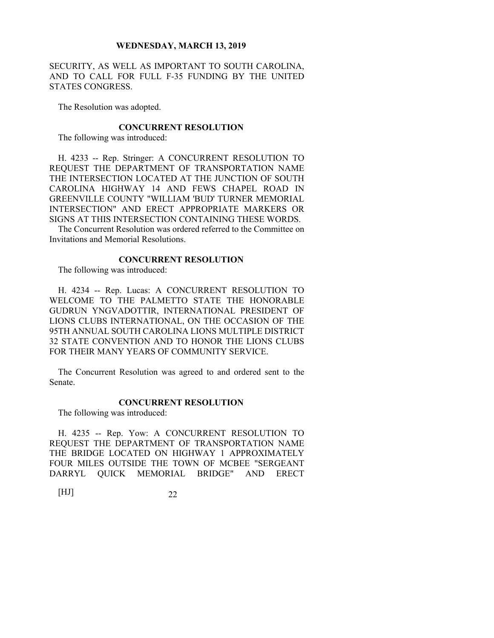SECURITY, AS WELL AS IMPORTANT TO SOUTH CAROLINA, AND TO CALL FOR FULL F-35 FUNDING BY THE UNITED STATES CONGRESS.

The Resolution was adopted.

#### **CONCURRENT RESOLUTION**

The following was introduced:

H. 4233 -- Rep. Stringer: A CONCURRENT RESOLUTION TO REQUEST THE DEPARTMENT OF TRANSPORTATION NAME THE INTERSECTION LOCATED AT THE JUNCTION OF SOUTH CAROLINA HIGHWAY 14 AND FEWS CHAPEL ROAD IN GREENVILLE COUNTY "WILLIAM 'BUD' TURNER MEMORIAL INTERSECTION" AND ERECT APPROPRIATE MARKERS OR SIGNS AT THIS INTERSECTION CONTAINING THESE WORDS.

The Concurrent Resolution was ordered referred to the Committee on Invitations and Memorial Resolutions.

### **CONCURRENT RESOLUTION**

The following was introduced:

H. 4234 -- Rep. Lucas: A CONCURRENT RESOLUTION TO WELCOME TO THE PALMETTO STATE THE HONORABLE GUDRUN YNGVADOTTIR, INTERNATIONAL PRESIDENT OF LIONS CLUBS INTERNATIONAL, ON THE OCCASION OF THE 95TH ANNUAL SOUTH CAROLINA LIONS MULTIPLE DISTRICT 32 STATE CONVENTION AND TO HONOR THE LIONS CLUBS FOR THEIR MANY YEARS OF COMMUNITY SERVICE.

The Concurrent Resolution was agreed to and ordered sent to the Senate.

### **CONCURRENT RESOLUTION**

The following was introduced:

H. 4235 -- Rep. Yow: A CONCURRENT RESOLUTION TO REQUEST THE DEPARTMENT OF TRANSPORTATION NAME THE BRIDGE LOCATED ON HIGHWAY 1 APPROXIMATELY FOUR MILES OUTSIDE THE TOWN OF MCBEE "SERGEANT DARRYL QUICK MEMORIAL BRIDGE" AND ERECT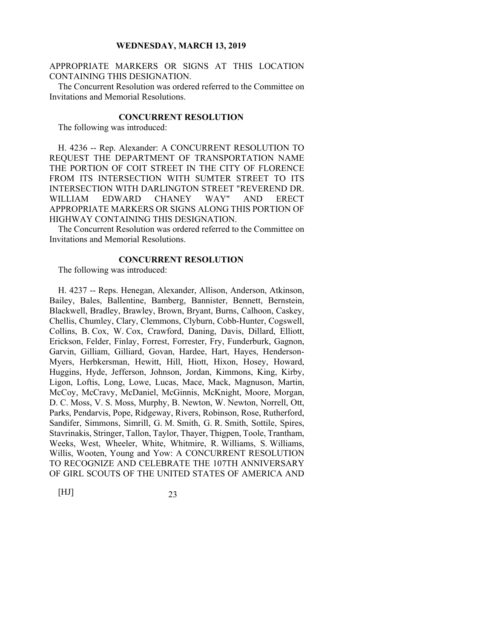APPROPRIATE MARKERS OR SIGNS AT THIS LOCATION CONTAINING THIS DESIGNATION.

The Concurrent Resolution was ordered referred to the Committee on Invitations and Memorial Resolutions.

### **CONCURRENT RESOLUTION**

The following was introduced:

H. 4236 -- Rep. Alexander: A CONCURRENT RESOLUTION TO REQUEST THE DEPARTMENT OF TRANSPORTATION NAME THE PORTION OF COIT STREET IN THE CITY OF FLORENCE FROM ITS INTERSECTION WITH SUMTER STREET TO ITS INTERSECTION WITH DARLINGTON STREET "REVEREND DR. WILLIAM EDWARD CHANEY WAY" AND ERECT APPROPRIATE MARKERS OR SIGNS ALONG THIS PORTION OF HIGHWAY CONTAINING THIS DESIGNATION.

The Concurrent Resolution was ordered referred to the Committee on Invitations and Memorial Resolutions.

### **CONCURRENT RESOLUTION**

The following was introduced:

H. 4237 -- Reps. Henegan, Alexander, Allison, Anderson, Atkinson, Bailey, Bales, Ballentine, Bamberg, Bannister, Bennett, Bernstein, Blackwell, Bradley, Brawley, Brown, Bryant, Burns, Calhoon, Caskey, Chellis, Chumley, Clary, Clemmons, Clyburn, Cobb-Hunter, Cogswell, Collins, B. Cox, W. Cox, Crawford, Daning, Davis, Dillard, Elliott, Erickson, Felder, Finlay, Forrest, Forrester, Fry, Funderburk, Gagnon, Garvin, Gilliam, Gilliard, Govan, Hardee, Hart, Hayes, Henderson-Myers, Herbkersman, Hewitt, Hill, Hiott, Hixon, Hosey, Howard, Huggins, Hyde, Jefferson, Johnson, Jordan, Kimmons, King, Kirby, Ligon, Loftis, Long, Lowe, Lucas, Mace, Mack, Magnuson, Martin, McCoy, McCravy, McDaniel, McGinnis, McKnight, Moore, Morgan, D. C. Moss, V. S. Moss, Murphy, B. Newton, W. Newton, Norrell, Ott, Parks, Pendarvis, Pope, Ridgeway, Rivers, Robinson, Rose, Rutherford, Sandifer, Simmons, Simrill, G. M. Smith, G. R. Smith, Sottile, Spires, Stavrinakis, Stringer, Tallon, Taylor, Thayer, Thigpen, Toole, Trantham, Weeks, West, Wheeler, White, Whitmire, R. Williams, S. Williams, Willis, Wooten, Young and Yow: A CONCURRENT RESOLUTION TO RECOGNIZE AND CELEBRATE THE 107TH ANNIVERSARY OF GIRL SCOUTS OF THE UNITED STATES OF AMERICA AND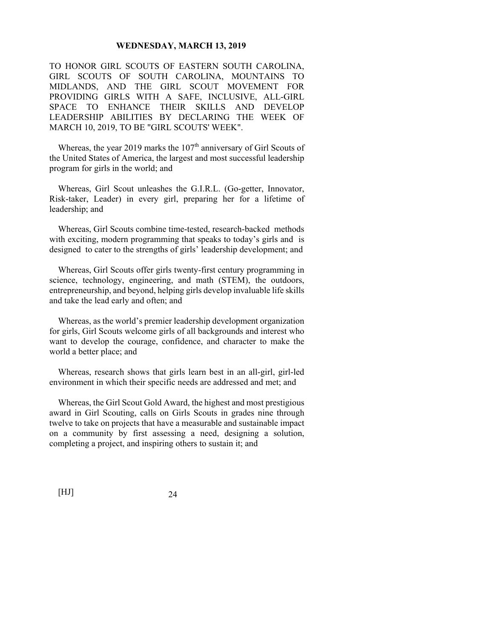TO HONOR GIRL SCOUTS OF EASTERN SOUTH CAROLINA, GIRL SCOUTS OF SOUTH CAROLINA, MOUNTAINS TO MIDLANDS, AND THE GIRL SCOUT MOVEMENT FOR PROVIDING GIRLS WITH A SAFE, INCLUSIVE, ALL-GIRL SPACE TO ENHANCE THEIR SKILLS AND DEVELOP LEADERSHIP ABILITIES BY DECLARING THE WEEK OF MARCH 10, 2019, TO BE "GIRL SCOUTS' WEEK".

Whereas, the year 2019 marks the  $107<sup>th</sup>$  anniversary of Girl Scouts of the United States of America, the largest and most successful leadership program for girls in the world; and

Whereas, Girl Scout unleashes the G.I.R.L. (Go-getter, Innovator, Risk-taker, Leader) in every girl, preparing her for a lifetime of leadership; and

Whereas, Girl Scouts combine time-tested, research-backed methods with exciting, modern programming that speaks to today's girls and is designed to cater to the strengths of girls' leadership development; and

Whereas, Girl Scouts offer girls twenty-first century programming in science, technology, engineering, and math (STEM), the outdoors, entrepreneurship, and beyond, helping girls develop invaluable life skills and take the lead early and often; and

Whereas, as the world's premier leadership development organization for girls, Girl Scouts welcome girls of all backgrounds and interest who want to develop the courage, confidence, and character to make the world a better place; and

Whereas, research shows that girls learn best in an all-girl, girl-led environment in which their specific needs are addressed and met; and

Whereas, the Girl Scout Gold Award, the highest and most prestigious award in Girl Scouting, calls on Girls Scouts in grades nine through twelve to take on projects that have a measurable and sustainable impact on a community by first assessing a need, designing a solution, completing a project, and inspiring others to sustain it; and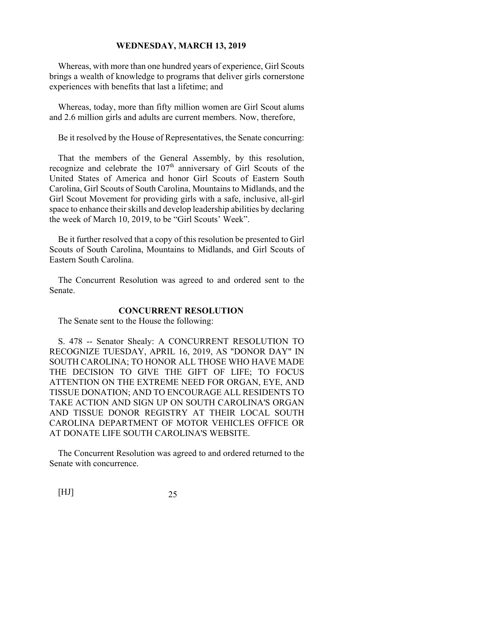Whereas, with more than one hundred years of experience, Girl Scouts brings a wealth of knowledge to programs that deliver girls cornerstone experiences with benefits that last a lifetime; and

Whereas, today, more than fifty million women are Girl Scout alums and 2.6 million girls and adults are current members. Now, therefore,

Be it resolved by the House of Representatives, the Senate concurring:

That the members of the General Assembly, by this resolution, recognize and celebrate the 107<sup>th</sup> anniversary of Girl Scouts of the United States of America and honor Girl Scouts of Eastern South Carolina, Girl Scouts of South Carolina, Mountains to Midlands, and the Girl Scout Movement for providing girls with a safe, inclusive, all-girl space to enhance their skills and develop leadership abilities by declaring the week of March 10, 2019, to be "Girl Scouts' Week".

Be it further resolved that a copy of this resolution be presented to Girl Scouts of South Carolina, Mountains to Midlands, and Girl Scouts of Eastern South Carolina.

The Concurrent Resolution was agreed to and ordered sent to the Senate.

### **CONCURRENT RESOLUTION**

The Senate sent to the House the following:

S. 478 -- Senator Shealy: A CONCURRENT RESOLUTION TO RECOGNIZE TUESDAY, APRIL 16, 2019, AS "DONOR DAY" IN SOUTH CAROLINA; TO HONOR ALL THOSE WHO HAVE MADE THE DECISION TO GIVE THE GIFT OF LIFE; TO FOCUS ATTENTION ON THE EXTREME NEED FOR ORGAN, EYE, AND TISSUE DONATION; AND TO ENCOURAGE ALL RESIDENTS TO TAKE ACTION AND SIGN UP ON SOUTH CAROLINA'S ORGAN AND TISSUE DONOR REGISTRY AT THEIR LOCAL SOUTH CAROLINA DEPARTMENT OF MOTOR VEHICLES OFFICE OR AT DONATE LIFE SOUTH CAROLINA'S WEBSITE.

The Concurrent Resolution was agreed to and ordered returned to the Senate with concurrence.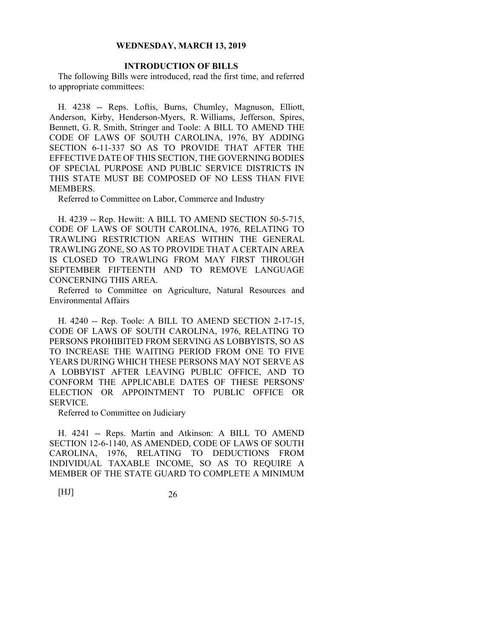### **INTRODUCTION OF BILLS**

The following Bills were introduced, read the first time, and referred to appropriate committees:

H. 4238 -- Reps. Loftis, Burns, Chumley, Magnuson, Elliott, Anderson, Kirby, Henderson-Myers, R. Williams, Jefferson, Spires, Bennett, G. R. Smith, Stringer and Toole: A BILL TO AMEND THE CODE OF LAWS OF SOUTH CAROLINA, 1976, BY ADDING SECTION 6-11-337 SO AS TO PROVIDE THAT AFTER THE EFFECTIVE DATE OF THIS SECTION, THE GOVERNING BODIES OF SPECIAL PURPOSE AND PUBLIC SERVICE DISTRICTS IN THIS STATE MUST BE COMPOSED OF NO LESS THAN FIVE MEMBERS.

Referred to Committee on Labor, Commerce and Industry

H. 4239 -- Rep. Hewitt: A BILL TO AMEND SECTION 50-5-715, CODE OF LAWS OF SOUTH CAROLINA, 1976, RELATING TO TRAWLING RESTRICTION AREAS WITHIN THE GENERAL TRAWLING ZONE, SO AS TO PROVIDE THAT A CERTAIN AREA IS CLOSED TO TRAWLING FROM MAY FIRST THROUGH SEPTEMBER FIFTEENTH AND TO REMOVE LANGUAGE CONCERNING THIS AREA.

Referred to Committee on Agriculture, Natural Resources and Environmental Affairs

H. 4240 -- Rep. Toole: A BILL TO AMEND SECTION 2-17-15, CODE OF LAWS OF SOUTH CAROLINA, 1976, RELATING TO PERSONS PROHIBITED FROM SERVING AS LOBBYISTS, SO AS TO INCREASE THE WAITING PERIOD FROM ONE TO FIVE YEARS DURING WHICH THESE PERSONS MAY NOT SERVE AS A LOBBYIST AFTER LEAVING PUBLIC OFFICE, AND TO CONFORM THE APPLICABLE DATES OF THESE PERSONS' ELECTION OR APPOINTMENT TO PUBLIC OFFICE OR SERVICE.

Referred to Committee on Judiciary

H. 4241 -- Reps. Martin and Atkinson: A BILL TO AMEND SECTION 12-6-1140, AS AMENDED, CODE OF LAWS OF SOUTH CAROLINA, 1976, RELATING TO DEDUCTIONS FROM INDIVIDUAL TAXABLE INCOME, SO AS TO REQUIRE A MEMBER OF THE STATE GUARD TO COMPLETE A MINIMUM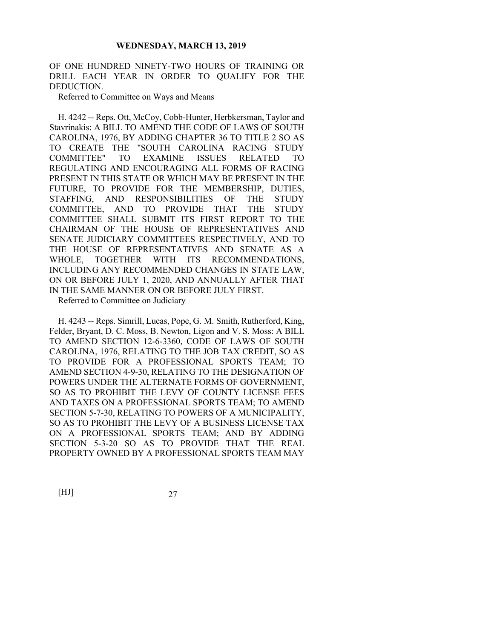OF ONE HUNDRED NINETY-TWO HOURS OF TRAINING OR DRILL EACH YEAR IN ORDER TO QUALIFY FOR THE DEDUCTION.

Referred to Committee on Ways and Means

H. 4242 -- Reps. Ott, McCoy, Cobb-Hunter, Herbkersman, Taylor and Stavrinakis: A BILL TO AMEND THE CODE OF LAWS OF SOUTH CAROLINA, 1976, BY ADDING CHAPTER 36 TO TITLE 2 SO AS TO CREATE THE "SOUTH CAROLINA RACING STUDY COMMITTEE" TO EXAMINE ISSUES RELATED TO REGULATING AND ENCOURAGING ALL FORMS OF RACING PRESENT IN THIS STATE OR WHICH MAY BE PRESENT IN THE FUTURE, TO PROVIDE FOR THE MEMBERSHIP, DUTIES, STAFFING, AND RESPONSIBILITIES OF THE STUDY COMMITTEE, AND TO PROVIDE THAT THE STUDY COMMITTEE SHALL SUBMIT ITS FIRST REPORT TO THE CHAIRMAN OF THE HOUSE OF REPRESENTATIVES AND SENATE JUDICIARY COMMITTEES RESPECTIVELY, AND TO THE HOUSE OF REPRESENTATIVES AND SENATE AS A WHOLE, TOGETHER WITH ITS RECOMMENDATIONS, INCLUDING ANY RECOMMENDED CHANGES IN STATE LAW, ON OR BEFORE JULY 1, 2020, AND ANNUALLY AFTER THAT IN THE SAME MANNER ON OR BEFORE JULY FIRST.

Referred to Committee on Judiciary

H. 4243 -- Reps. Simrill, Lucas, Pope, G. M. Smith, Rutherford, King, Felder, Bryant, D. C. Moss, B. Newton, Ligon and V. S. Moss: A BILL TO AMEND SECTION 12-6-3360, CODE OF LAWS OF SOUTH CAROLINA, 1976, RELATING TO THE JOB TAX CREDIT, SO AS TO PROVIDE FOR A PROFESSIONAL SPORTS TEAM; TO AMEND SECTION 4-9-30, RELATING TO THE DESIGNATION OF POWERS UNDER THE ALTERNATE FORMS OF GOVERNMENT, SO AS TO PROHIBIT THE LEVY OF COUNTY LICENSE FEES AND TAXES ON A PROFESSIONAL SPORTS TEAM; TO AMEND SECTION 5-7-30, RELATING TO POWERS OF A MUNICIPALITY, SO AS TO PROHIBIT THE LEVY OF A BUSINESS LICENSE TAX ON A PROFESSIONAL SPORTS TEAM; AND BY ADDING SECTION 5-3-20 SO AS TO PROVIDE THAT THE REAL PROPERTY OWNED BY A PROFESSIONAL SPORTS TEAM MAY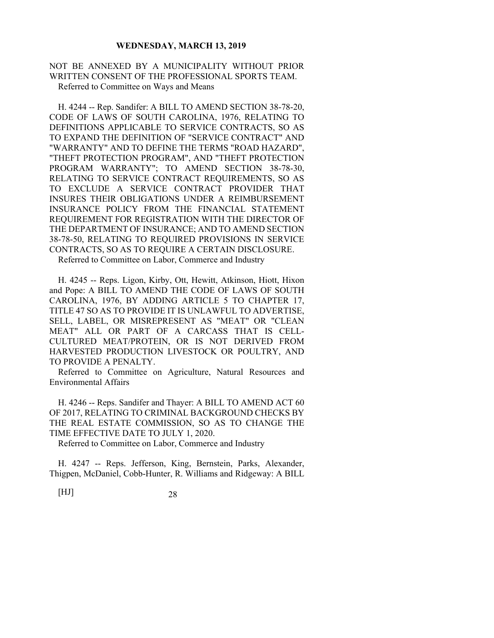### NOT BE ANNEXED BY A MUNICIPALITY WITHOUT PRIOR WRITTEN CONSENT OF THE PROFESSIONAL SPORTS TEAM. Referred to Committee on Ways and Means

H. 4244 -- Rep. Sandifer: A BILL TO AMEND SECTION 38-78-20, CODE OF LAWS OF SOUTH CAROLINA, 1976, RELATING TO DEFINITIONS APPLICABLE TO SERVICE CONTRACTS, SO AS TO EXPAND THE DEFINITION OF "SERVICE CONTRACT" AND "WARRANTY" AND TO DEFINE THE TERMS "ROAD HAZARD", "THEFT PROTECTION PROGRAM", AND "THEFT PROTECTION PROGRAM WARRANTY"; TO AMEND SECTION 38-78-30, RELATING TO SERVICE CONTRACT REQUIREMENTS, SO AS TO EXCLUDE A SERVICE CONTRACT PROVIDER THAT INSURES THEIR OBLIGATIONS UNDER A REIMBURSEMENT INSURANCE POLICY FROM THE FINANCIAL STATEMENT REQUIREMENT FOR REGISTRATION WITH THE DIRECTOR OF THE DEPARTMENT OF INSURANCE; AND TO AMEND SECTION 38-78-50, RELATING TO REQUIRED PROVISIONS IN SERVICE CONTRACTS, SO AS TO REQUIRE A CERTAIN DISCLOSURE. Referred to Committee on Labor, Commerce and Industry

H. 4245 -- Reps. Ligon, Kirby, Ott, Hewitt, Atkinson, Hiott, Hixon and Pope: A BILL TO AMEND THE CODE OF LAWS OF SOUTH CAROLINA, 1976, BY ADDING ARTICLE 5 TO CHAPTER 17, TITLE 47 SO AS TO PROVIDE IT IS UNLAWFUL TO ADVERTISE, SELL, LABEL, OR MISREPRESENT AS "MEAT" OR "CLEAN MEAT" ALL OR PART OF A CARCASS THAT IS CELL-CULTURED MEAT/PROTEIN, OR IS NOT DERIVED FROM HARVESTED PRODUCTION LIVESTOCK OR POULTRY, AND TO PROVIDE A PENALTY.

Referred to Committee on Agriculture, Natural Resources and Environmental Affairs

H. 4246 -- Reps. Sandifer and Thayer: A BILL TO AMEND ACT 60 OF 2017, RELATING TO CRIMINAL BACKGROUND CHECKS BY THE REAL ESTATE COMMISSION, SO AS TO CHANGE THE TIME EFFECTIVE DATE TO JULY 1, 2020.

Referred to Committee on Labor, Commerce and Industry

H. 4247 -- Reps. Jefferson, King, Bernstein, Parks, Alexander, Thigpen, McDaniel, Cobb-Hunter, R. Williams and Ridgeway: A BILL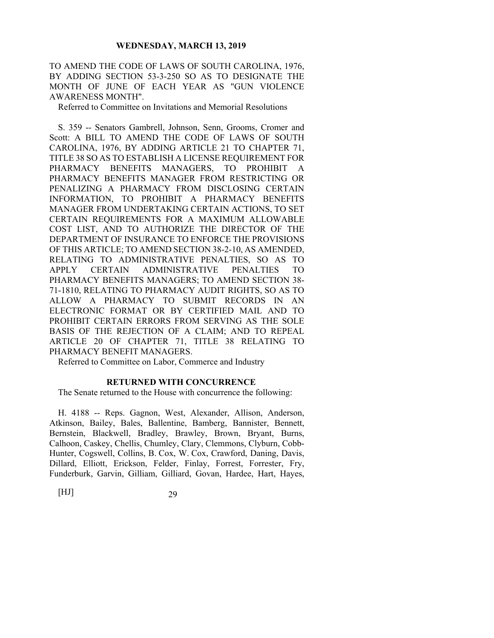TO AMEND THE CODE OF LAWS OF SOUTH CAROLINA, 1976, BY ADDING SECTION 53-3-250 SO AS TO DESIGNATE THE MONTH OF JUNE OF EACH YEAR AS "GUN VIOLENCE AWARENESS MONTH".

Referred to Committee on Invitations and Memorial Resolutions

S. 359 -- Senators Gambrell, Johnson, Senn, Grooms, Cromer and Scott: A BILL TO AMEND THE CODE OF LAWS OF SOUTH CAROLINA, 1976, BY ADDING ARTICLE 21 TO CHAPTER 71, TITLE 38 SO AS TO ESTABLISH A LICENSE REQUIREMENT FOR PHARMACY BENEFITS MANAGERS, TO PROHIBIT A PHARMACY BENEFITS MANAGER FROM RESTRICTING OR PENALIZING A PHARMACY FROM DISCLOSING CERTAIN INFORMATION, TO PROHIBIT A PHARMACY BENEFITS MANAGER FROM UNDERTAKING CERTAIN ACTIONS, TO SET CERTAIN REQUIREMENTS FOR A MAXIMUM ALLOWABLE COST LIST, AND TO AUTHORIZE THE DIRECTOR OF THE DEPARTMENT OF INSURANCE TO ENFORCE THE PROVISIONS OF THIS ARTICLE; TO AMEND SECTION 38-2-10, AS AMENDED, RELATING TO ADMINISTRATIVE PENALTIES, SO AS TO APPLY CERTAIN ADMINISTRATIVE PENALTIES TO PHARMACY BENEFITS MANAGERS; TO AMEND SECTION 38- 71-1810, RELATING TO PHARMACY AUDIT RIGHTS, SO AS TO ALLOW A PHARMACY TO SUBMIT RECORDS IN AN ELECTRONIC FORMAT OR BY CERTIFIED MAIL AND TO PROHIBIT CERTAIN ERRORS FROM SERVING AS THE SOLE BASIS OF THE REJECTION OF A CLAIM; AND TO REPEAL ARTICLE 20 OF CHAPTER 71, TITLE 38 RELATING TO PHARMACY BENEFIT MANAGERS.

Referred to Committee on Labor, Commerce and Industry

### **RETURNED WITH CONCURRENCE**

The Senate returned to the House with concurrence the following:

H. 4188 -- Reps. Gagnon, West, Alexander, Allison, Anderson, Atkinson, Bailey, Bales, Ballentine, Bamberg, Bannister, Bennett, Bernstein, Blackwell, Bradley, Brawley, Brown, Bryant, Burns, Calhoon, Caskey, Chellis, Chumley, Clary, Clemmons, Clyburn, Cobb-Hunter, Cogswell, Collins, B. Cox, W. Cox, Crawford, Daning, Davis, Dillard, Elliott, Erickson, Felder, Finlay, Forrest, Forrester, Fry, Funderburk, Garvin, Gilliam, Gilliard, Govan, Hardee, Hart, Hayes,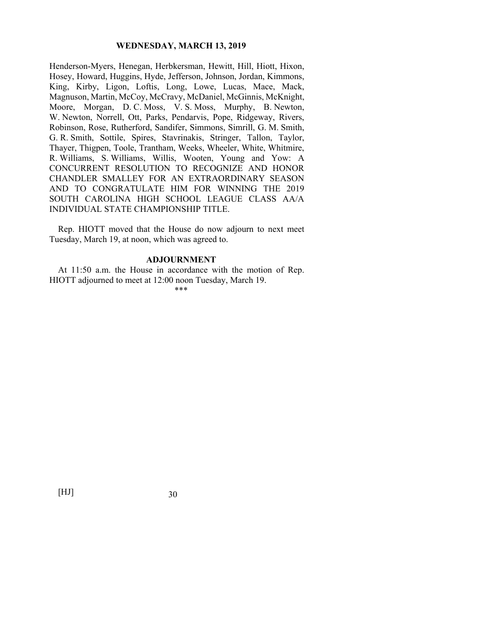Henderson-Myers, Henegan, Herbkersman, Hewitt, Hill, Hiott, Hixon, Hosey, Howard, Huggins, Hyde, Jefferson, Johnson, Jordan, Kimmons, King, Kirby, Ligon, Loftis, Long, Lowe, Lucas, Mace, Mack, Magnuson, Martin, McCoy, McCravy, McDaniel, McGinnis, McKnight, Moore, Morgan, D. C. Moss, V. S. Moss, Murphy, B. Newton, W. Newton, Norrell, Ott, Parks, Pendarvis, Pope, Ridgeway, Rivers, Robinson, Rose, Rutherford, Sandifer, Simmons, Simrill, G. M. Smith, G. R. Smith, Sottile, Spires, Stavrinakis, Stringer, Tallon, Taylor, Thayer, Thigpen, Toole, Trantham, Weeks, Wheeler, White, Whitmire, R. Williams, S. Williams, Willis, Wooten, Young and Yow: A CONCURRENT RESOLUTION TO RECOGNIZE AND HONOR CHANDLER SMALLEY FOR AN EXTRAORDINARY SEASON AND TO CONGRATULATE HIM FOR WINNING THE 2019 SOUTH CAROLINA HIGH SCHOOL LEAGUE CLASS AA/A INDIVIDUAL STATE CHAMPIONSHIP TITLE.

Rep. HIOTT moved that the House do now adjourn to next meet Tuesday, March 19, at noon, which was agreed to.

#### **ADJOURNMENT**

At 11:50 a.m. the House in accordance with the motion of Rep. HIOTT adjourned to meet at 12:00 noon Tuesday, March 19.

\*\*\*